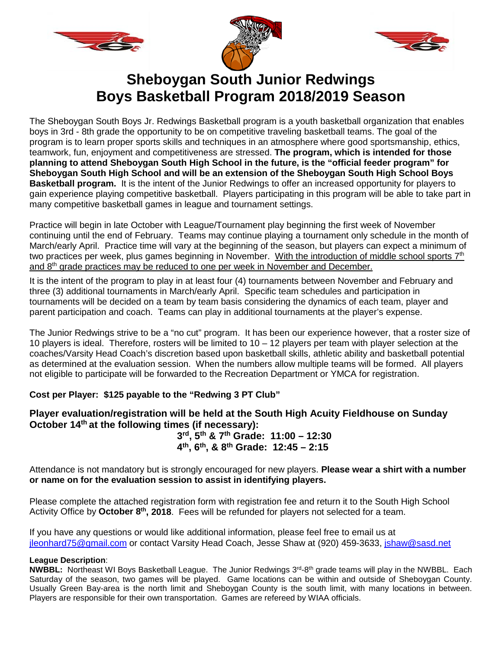





# **Sheboygan South Junior Redwings Boys Basketball Program 2018/2019 Season**

The Sheboygan South Boys Jr. Redwings Basketball program is a youth basketball organization that enables boys in 3rd - 8th grade the opportunity to be on competitive traveling basketball teams. The goal of the program is to learn proper sports skills and techniques in an atmosphere where good sportsmanship, ethics, teamwork, fun, enjoyment and competitiveness are stressed. **The program, which is intended for those planning to attend Sheboygan South High School in the future, is the "official feeder program" for Sheboygan South High School and will be an extension of the Sheboygan South High School Boys Basketball program.** It is the intent of the Junior Redwings to offer an increased opportunity for players to gain experience playing competitive basketball. Players participating in this program will be able to take part in many competitive basketball games in league and tournament settings.

Practice will begin in late October with League/Tournament play beginning the first week of November continuing until the end of February. Teams may continue playing a tournament only schedule in the month of March/early April. Practice time will vary at the beginning of the season, but players can expect a minimum of two practices per week, plus games beginning in November. With the introduction of middle school sports 7<sup>th</sup> and 8<sup>th</sup> grade practices may be reduced to one per week in November and December.

It is the intent of the program to play in at least four (4) tournaments between November and February and three (3) additional tournaments in March/early April. Specific team schedules and participation in tournaments will be decided on a team by team basis considering the dynamics of each team, player and parent participation and coach. Teams can play in additional tournaments at the player's expense.

The Junior Redwings strive to be a "no cut" program. It has been our experience however, that a roster size of 10 players is ideal. Therefore, rosters will be limited to 10 – 12 players per team with player selection at the coaches/Varsity Head Coach's discretion based upon basketball skills, athletic ability and basketball potential as determined at the evaluation session. When the numbers allow multiple teams will be formed. All players not eligible to participate will be forwarded to the Recreation Department or YMCA for registration.

### **Cost per Player: \$125 payable to the "Redwing 3 PT Club"**

### **Player evaluation/registration will be held at the South High Acuity Fieldhouse on Sunday October 14th at the following times (if necessary):**

**3rd, 5th & 7th Grade: 11:00 – 12:30 4th, 6th, & 8th Grade: 12:45 – 2:15**

Attendance is not mandatory but is strongly encouraged for new players. **Please wear a shirt with a number or name on for the evaluation session to assist in identifying players.**

Please complete the attached registration form with registration fee and return it to the South High School Activity Office by **October 8th, 2018**. Fees will be refunded for players not selected for a team.

If you have any questions or would like additional information, please feel free to email us at [jleonhard75@gmail.com](mailto:jleonhard75@gmail.com) or contact Varsity Head Coach, Jesse Shaw at (920) 459-3633, [jshaw@sasd.net](mailto:jshaw@sasd.net) 

#### **League Description**:

**NWBBL:** Northeast WI Boys Basketball League. The Junior Redwings 3rd-8th grade teams will play in the NWBBL. Each Saturday of the season, two games will be played. Game locations can be within and outside of Sheboygan County. Usually Green Bay-area is the north limit and Sheboygan County is the south limit, with many locations in between. Players are responsible for their own transportation. Games are refereed by WIAA officials.